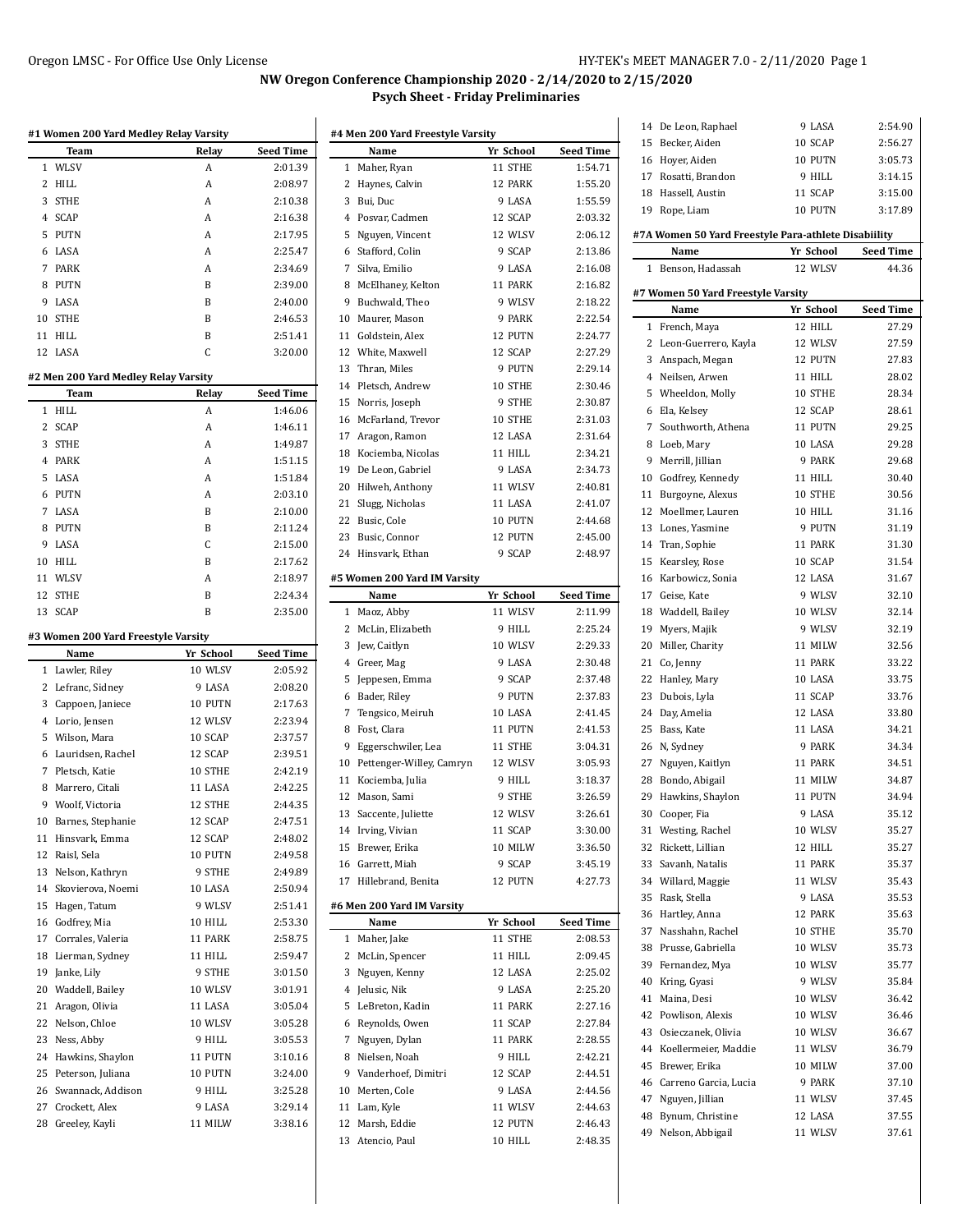## **NW Oregon Conference Championship 2020 - 2/14/2020 to 2/15/2020 Psych Sheet - Friday Preliminaries**

| #1 Women 200 Yard Medley Relay Varsity |                                      |                   |                    |  |  |  |
|----------------------------------------|--------------------------------------|-------------------|--------------------|--|--|--|
|                                        | Team                                 | Relay             | <b>Seed Time</b>   |  |  |  |
| 1                                      | WLSV                                 | A                 | 2:01.39            |  |  |  |
| 2                                      | HILL                                 | A                 | 2:08.97            |  |  |  |
| 3                                      | <b>STHE</b>                          | A                 | 2:10.38            |  |  |  |
|                                        | 4 SCAP                               | Α                 | 2:16.38            |  |  |  |
| 5                                      | PUTN                                 | A                 | 2:17.95            |  |  |  |
| 6                                      | LASA                                 | A                 | 2:25.47            |  |  |  |
| 7                                      | PARK                                 | A                 | 2:34.69            |  |  |  |
| 8                                      | PUTN                                 | B                 | 2:39.00            |  |  |  |
| 9                                      | LASA                                 | B                 | 2:40.00            |  |  |  |
| 10                                     | <b>STHE</b>                          | B                 | 2:46.53            |  |  |  |
| 11                                     | <b>HILL</b>                          | B                 | 2:51.41            |  |  |  |
| 12                                     | LASA                                 | C                 | 3:20.00            |  |  |  |
|                                        |                                      |                   |                    |  |  |  |
|                                        | #2 Men 200 Yard Medley Relay Varsity |                   |                    |  |  |  |
|                                        | Team                                 | Relay             | <b>Seed Time</b>   |  |  |  |
| 1                                      | <b>HILL</b>                          | A                 | 1:46.06            |  |  |  |
| 2                                      | <b>SCAP</b>                          | A                 | 1:46.11            |  |  |  |
| 3                                      | STHE                                 | A                 | 1:49.87            |  |  |  |
|                                        | 4 PARK                               | A                 | 1:51.15            |  |  |  |
| 5                                      | LASA                                 | A                 | 1:51.84            |  |  |  |
| 6                                      | PUTN                                 | A                 | 2:03.10            |  |  |  |
| 7                                      | LASA                                 | B                 | 2:10.00            |  |  |  |
| 8                                      | PUTN                                 | B                 | 2:11.24            |  |  |  |
| 9                                      | LASA                                 | C                 | 2:15.00            |  |  |  |
| 10                                     | HILL                                 | B                 | 2:17.62            |  |  |  |
| 11                                     | WLSV                                 | A                 | 2:18.97            |  |  |  |
| 12                                     | <b>STHE</b>                          | B                 | 2:24.34            |  |  |  |
| 13                                     | SCAP                                 | B                 | 2:35.00            |  |  |  |
|                                        |                                      |                   |                    |  |  |  |
|                                        | #3 Women 200 Yard Freestyle Varsity  |                   |                    |  |  |  |
|                                        | Name                                 | Yr School         | Seed Time          |  |  |  |
| 1                                      | Lawler, Riley                        | 10 WLSV           | 2:05.92            |  |  |  |
| 2                                      | Lefranc, Sidney                      | 9 LASA            | 2:08.20            |  |  |  |
| 3                                      | Cappoen, Janiece                     | 10 PUTN           | 2:17.63            |  |  |  |
|                                        | 4 Lorio, Jensen                      | 12 WLSV           | 2:23.94            |  |  |  |
| 5                                      | Wilson, Mara                         | 10 SCAP           | 2:37.57            |  |  |  |
| 6                                      | Lauridsen, Rachel                    | 12 SCAP           | 2:39.51            |  |  |  |
| 7                                      | Pletsch, Katie                       | 10 STHE           | 2:42.19            |  |  |  |
| 8                                      | Marrero, Citali                      | 11 LASA           |                    |  |  |  |
| 9                                      |                                      | 12 STHE           | 2:42.25<br>2:44.35 |  |  |  |
|                                        | Woolf, Victoria                      |                   |                    |  |  |  |
| 10                                     | Barnes, Stephanie                    | 12 SCAP           | 2:47.51            |  |  |  |
| 11                                     | Hinsvark, Emma                       | 12 SCAP           | 2:48.02            |  |  |  |
| 12                                     | Raisl, Sela                          | 10 PUTN           | 2:49.58            |  |  |  |
|                                        | 13 Nelson, Kathryn                   | 9 STHE            | 2:49.89            |  |  |  |
|                                        | 14 Skovierova, Noemi                 | 10 LASA           | 2:50.94            |  |  |  |
| 15                                     | Hagen, Tatum                         | 9 WLSV            | 2:51.41            |  |  |  |
|                                        | 16 Godfrey, Mia                      | 10 HILL           | 2:53.30            |  |  |  |
| 17                                     | Corrales, Valeria                    | 11 PARK           | 2:58.75            |  |  |  |
| 18                                     | Lierman, Sydney                      | 11 HILL           | 2:59.47            |  |  |  |
|                                        | 19 Janke, Lily                       | 9 STHE            | 3:01.50            |  |  |  |
| 20                                     | Waddell, Bailey                      | 10 WLSV           | 3:01.91            |  |  |  |
| 21                                     | Aragon, Olivia                       | 11 LASA           | 3:05.04            |  |  |  |
|                                        | 22 Nelson, Chloe                     | 10 WLSV           | 3:05.28            |  |  |  |
| 23                                     | Ness, Abby                           | 9 HILL            | 3:05.53            |  |  |  |
|                                        | 24 Hawkins, Shaylon                  | 11 PUTN           | 3:10.16            |  |  |  |
|                                        | 25 Peterson, Juliana                 | 10 PUTN           | 3:24.00            |  |  |  |
|                                        | 26 Swannack, Addison                 | 9 HILL            | 3:25.28            |  |  |  |
| 27<br>28                               | Crockett, Alex<br>Greeley, Kayli     | 9 LASA<br>11 MILW | 3:29.14<br>3:38.16 |  |  |  |

| #4 Men 200 Yard Freestyle Varsity |                                    |           |                  |  |
|-----------------------------------|------------------------------------|-----------|------------------|--|
|                                   | Name                               | Yr School | <b>Seed Time</b> |  |
| 1                                 | Maher, Ryan                        | 11 STHE   | 1:54.71          |  |
| 2                                 | Haynes, Calvin                     | 12 PARK   | 1:55.20          |  |
| 3                                 | Bui, Duc                           | 9 LASA    | 1:55.59          |  |
| 4                                 | Posvar, Cadmen                     | 12 SCAP   | 2:03.32          |  |
| 5                                 | Nguyen, Vincent                    | 12 WLSV   | 2:06.12          |  |
| 6                                 | Stafford, Colin                    | 9 SCAP    | 2:13.86          |  |
| 7                                 | Silva, Emilio                      | 9 LASA    | 2:16.08          |  |
| 8                                 | McElhaney, Kelton                  | 11 PARK   | 2:16.82          |  |
| 9                                 | Buchwald, Theo                     | 9 WLSV    | 2:18.22          |  |
| 10                                | Maurer, Mason                      | 9 PARK    | 2:22.54          |  |
| 11                                | Goldstein, Alex                    | 12 PUTN   | 2:24.77          |  |
| 12                                | White, Maxwell                     | 12 SCAP   | 2:27.29          |  |
| 13                                | Thran, Miles                       | 9 PUTN    | 2:29.14          |  |
| 14                                | Pletsch, Andrew                    | 10 STHE   | 2:30.46          |  |
| 15                                | Norris, Joseph                     | 9 STHE    | 2:30.87          |  |
| 16                                | McFarland, Trevor                  | 10 STHE   | 2:31.03          |  |
| 17                                | Aragon, Ramon                      | 12 LASA   | 2:31.64          |  |
| 18                                | Kociemba, Nicolas                  | 11 HILL   | 2:34.21          |  |
| 19                                | De Leon, Gabriel                   | 9 LASA    | 2:34.73          |  |
| 20                                | Hilweh, Anthony                    | 11 WLSV   | 2:40.81          |  |
| 21                                | Slugg, Nicholas                    | 11 LASA   | 2:41.07          |  |
| 22                                | Busic, Cole                        | 10 PUTN   | 2:44.68          |  |
| 23                                | Busic, Connor                      | 12 PUTN   | 2:45.00          |  |
| 24                                | Hinsvark, Ethan                    | 9 SCAP    | 2:48.97          |  |
|                                   |                                    |           |                  |  |
|                                   | #5 Women 200 Yard IM Varsity       |           |                  |  |
|                                   | Name                               | Yr School | <b>Seed Time</b> |  |
| 1                                 | Maoz, Abby                         | 11 WLSV   | 2:11.99          |  |
| 2                                 | McLin, Elizabeth                   | 9 HILL    | 2:25.24          |  |
| 3                                 | Jew, Caitlyn                       | 10 WLSV   | 2:29.33          |  |
| 4                                 | Greer, Mag                         | 9 LASA    | 2:30.48          |  |
| 5                                 | Jeppesen, Emma                     | 9 SCAP    | 2:37.48          |  |
| 6                                 | Bader, Riley                       | 9 PUTN    | 2:37.83          |  |
| 7                                 | Tengsico, Meiruh                   | 10 LASA   | 2:41.45          |  |
| 8                                 | Fost, Clara                        | 11 PUTN   | 2:41.53          |  |
| 9                                 | Eggerschwiler, Lea                 | 11 STHE   | 3:04.31          |  |
| 10                                | Pettenger-Willey, Camryn           | 12 WLSV   | 3:05.93          |  |
| 11                                | Kociemba, Julia                    | 9 HILL    | 3:18.37          |  |
| 12                                | Mason, Sami                        | 9 STHE    | 3:26.59          |  |
| 13                                | Saccente, Juliette                 | 12 WLSV   | 3:26.61          |  |
| 14                                | Irving, Vivian                     | 11 SCAP   | 3.30.00          |  |
| 15                                | Brewer, Erika                      | 10 MILW   | 3:36.50          |  |
|                                   | 16 Garrett, Miah                   | 9 SCAP    | 3:45.19          |  |
|                                   | 17 Hillebrand, Benita              | 12 PUTN   | 4:27.73          |  |
|                                   |                                    |           |                  |  |
|                                   | #6 Men 200 Yard IM Varsity<br>Name | Yr School | <b>Seed Time</b> |  |
| 1                                 | Maher, Jake                        | 11 STHE   | 2:08.53          |  |
| 2                                 | McLin, Spencer                     | 11 HILL   | 2:09.45          |  |
| 3                                 | Nguyen, Kenny                      | 12 LASA   | 2:25.02          |  |
| 4                                 | Jelusic, Nik                       | 9 LASA    | 2:25.20          |  |
| 5                                 | LeBreton, Kadin                    | 11 PARK   | 2:27.16          |  |
|                                   |                                    | 11 SCAP   |                  |  |
| 6                                 | Reynolds, Owen                     |           | 2:27.84          |  |
| 7                                 | Nguyen, Dylan                      | 11 PARK   | 2:28.55          |  |
| 8                                 | Nielsen, Noah                      | 9 HILL    | 2:42.21          |  |
| 9                                 | Vanderhoef, Dimitri                | 12 SCAP   | 2:44.51          |  |
| 10                                | Merten, Cole                       | 9 LASA    | 2:44.56          |  |
|                                   | 11 Lam, Kyle                       | 11 WLSV   | 2:44.63          |  |
|                                   |                                    |           |                  |  |
|                                   | 12 Marsh, Eddie                    | 12 PUTN   | 2:46.43          |  |
|                                   | 13 Atencio, Paul                   | 10 HILL   | 2:48.35          |  |

| 14                                                   | De Leon, Raphael                   | 9 LASA    | 2:54.90          |  |  |
|------------------------------------------------------|------------------------------------|-----------|------------------|--|--|
| 15                                                   | Becker, Aiden                      | 10 SCAP   | 2:56.27          |  |  |
|                                                      | 16 Hoyer, Aiden                    | 10 PUTN   | 3:05.73          |  |  |
|                                                      | 17 Rosatti, Brandon                | 9 HILL    | 3:14.15          |  |  |
|                                                      | 18 Hassell, Austin                 | 11 SCAP   | 3:15.00          |  |  |
| 19                                                   | Rope, Liam                         | 10 PUTN   | 3:17.89          |  |  |
|                                                      |                                    |           |                  |  |  |
| #7A Women 50 Yard Freestyle Para-athlete Disabiility |                                    |           |                  |  |  |
|                                                      | Name                               | Yr School | <b>Seed Time</b> |  |  |
| 1                                                    | Benson, Hadassah                   | 12 WLSV   | 44.36            |  |  |
|                                                      |                                    |           |                  |  |  |
|                                                      | #7 Women 50 Yard Freestyle Varsity |           |                  |  |  |
|                                                      | Name                               | Yr School | <b>Seed Time</b> |  |  |
| 1                                                    | French, Maya                       | 12 HILL   | 27.29            |  |  |
|                                                      | 2 Leon-Guerrero, Kayla             | 12 WLSV   | 27.59            |  |  |
|                                                      | 3 Anspach, Megan                   | 12 PUTN   | 27.83            |  |  |
|                                                      | 4 Neilsen, Arwen                   | 11 HILL   | 28.02            |  |  |
|                                                      | 5 Wheeldon, Molly                  | 10 STHE   | 28.34            |  |  |
|                                                      | 6 Ela, Kelsey                      | 12 SCAP   | 28.61            |  |  |
|                                                      | 7 Southworth, Athena               | 11 PUTN   | 29.25            |  |  |
|                                                      | 8 Loeb, Mary                       | 10 LASA   | 29.28            |  |  |
|                                                      | 9 Merrill, Jillian                 | 9 PARK    | 29.68            |  |  |
|                                                      | 10 Godfrey, Kennedy                | 11 HILL   | 30.40            |  |  |
|                                                      |                                    | 10 STHE   | 30.56            |  |  |
|                                                      | 11 Burgoyne, Alexus                |           |                  |  |  |
|                                                      | 12 Moellmer, Lauren                | 10 HILL   | 31.16            |  |  |
|                                                      | 13 Lones, Yasmine                  | 9 PUTN    | 31.19            |  |  |
|                                                      | 14 Tran, Sophie                    | 11 PARK   | 31.30            |  |  |
|                                                      | 15 Kearsley, Rose                  | 10 SCAP   | 31.54            |  |  |
|                                                      | 16 Karbowicz, Sonia                | 12 LASA   | 31.67            |  |  |
|                                                      | 17 Geise, Kate                     | 9 WLSV    | 32.10            |  |  |
|                                                      | 18 Waddell, Bailey                 | 10 WLSV   | 32.14            |  |  |
|                                                      | 19 Myers, Majik                    | 9 WLSV    | 32.19            |  |  |
| 20                                                   | Miller, Charity                    | 11 MILW   | 32.56            |  |  |
|                                                      | 21 Co, Jenny                       | 11 PARK   | 33.22            |  |  |
|                                                      | 22 Hanley, Mary                    | 10 LASA   | 33.75            |  |  |
| 23                                                   | Dubois, Lyla                       | 11 SCAP   | 33.76            |  |  |
|                                                      | 24 Day, Amelia                     | 12 LASA   | 33.80            |  |  |
|                                                      | 25 Bass, Kate                      | 11 LASA   | 34.21            |  |  |
|                                                      |                                    |           |                  |  |  |
|                                                      | 26 N, Sydney                       | 9 PARK    | 34.34            |  |  |
|                                                      | 27 Nguyen, Kaitlyn                 | 11 PARK   | 34.51            |  |  |
| 28                                                   | Bondo, Abigail                     | 11 MILW   | 34.87            |  |  |
| 29                                                   | Hawkins, Shaylon                   | 11 PUTN   | 34.94            |  |  |
| 30                                                   | Cooper, Fia                        | 9 LASA    | 35.12            |  |  |
|                                                      | 31 Westing, Rachel                 | 10 WLSV   | 35.27            |  |  |
|                                                      | 32 Rickett, Lillian                | 12 HILL   | 35.27            |  |  |
|                                                      | 33 Savanh, Natalis                 | 11 PARK   | 35.37            |  |  |
|                                                      | 34 Willard, Maggie                 | 11 WLSV   | 35.43            |  |  |
|                                                      | 35 Rask, Stella                    | 9 LASA    | 35.53            |  |  |
|                                                      | 36 Hartley, Anna                   | 12 PARK   | 35.63            |  |  |
|                                                      | 37 Nasshahn, Rachel                | 10 STHE   | 35.70            |  |  |
|                                                      | 38 Prusse, Gabriella               | 10 WLSV   | 35.73            |  |  |
|                                                      | 39 Fernandez, Mya                  | 10 WLSV   | 35.77            |  |  |
|                                                      | 40 Kring, Gyasi                    | 9 WLSV    | 35.84            |  |  |
|                                                      | 41 Maina, Desi                     | 10 WLSV   | 36.42            |  |  |
|                                                      |                                    |           |                  |  |  |
|                                                      | 42 Powlison, Alexis                | 10 WLSV   | 36.46            |  |  |
|                                                      | 43 Osieczanek, Olivia              | 10 WLSV   | 36.67            |  |  |
|                                                      | 44 Koellermeier, Maddie            | 11 WLSV   | 36.79            |  |  |
|                                                      | 45 Brewer, Erika                   | 10 MILW   | 37.00            |  |  |
|                                                      | 46 Carreno Garcia, Lucia           | 9 PARK    | 37.10            |  |  |
|                                                      | 47 Nguyen, Jillian                 | 11 WLSV   | 37.45            |  |  |
| 48                                                   | Bynum, Christine                   | 12 LASA   | 37.55            |  |  |
| 49                                                   | Nelson, Abbigail                   | 11 WLSV   | 37.61            |  |  |
|                                                      |                                    |           |                  |  |  |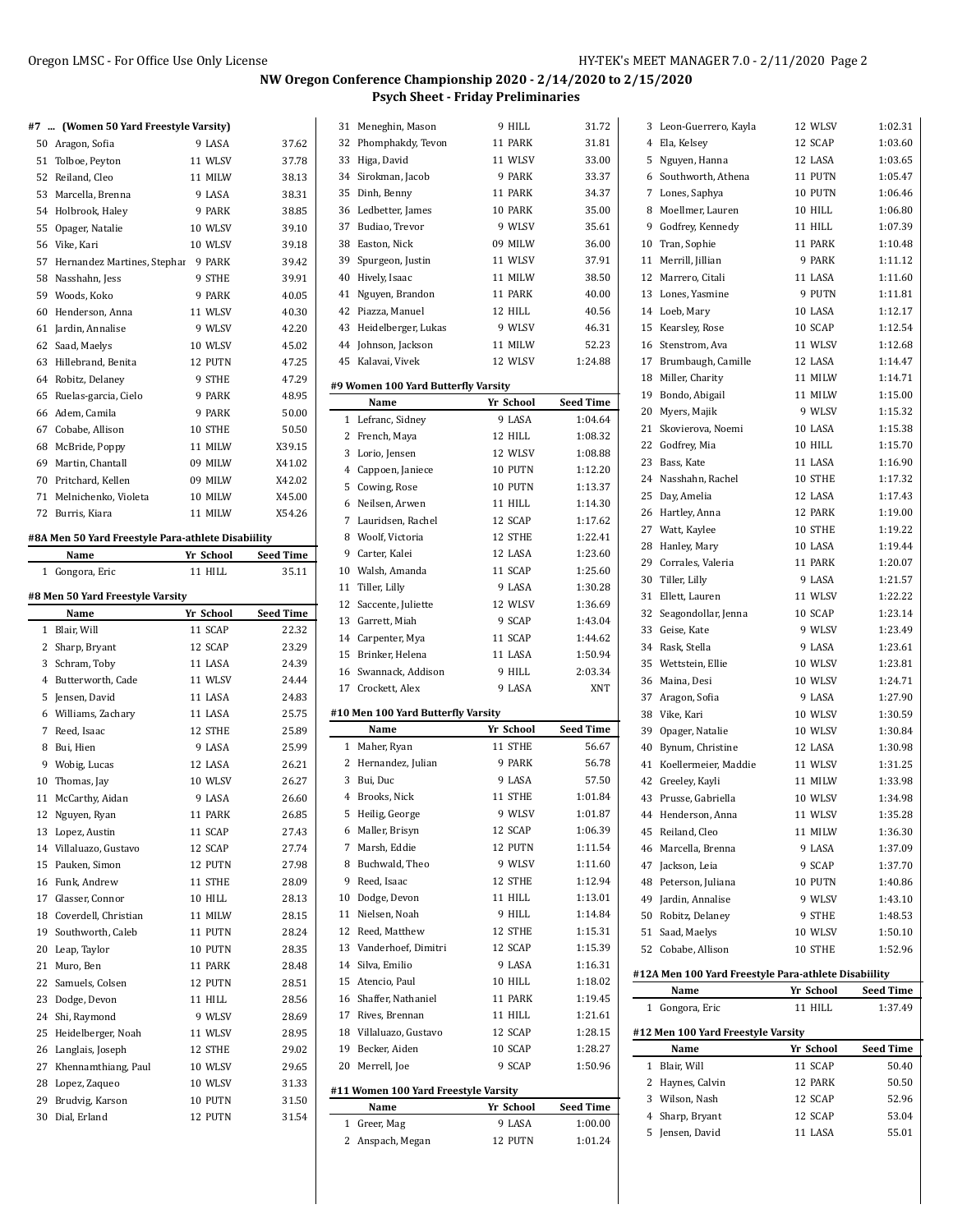#### **NW Oregon Conference Championship 2020 - 2/14/2020 to 2/15/2020 Psych Sheet - Friday Preliminaries**

#### **#7 ... (Women 50 Yard Freestyle Varsity)**

| #7           | (women 50 rard Freestyle varsity)                  |           |                  |
|--------------|----------------------------------------------------|-----------|------------------|
|              | 50 Aragon, Sofia                                   | 9 LASA    | 37.62            |
| 51           | Tolboe, Peyton                                     | 11 WLSV   | 37.78            |
|              | 52 Reiland, Cleo                                   | 11 MILW   | 38.13            |
|              | 53 Marcella, Brenna                                | 9 LASA    | 38.31            |
|              | 54 Holbrook, Haley                                 | 9 PARK    | 38.85            |
|              | 55 Opager, Natalie                                 | 10 WLSV   | 39.10            |
|              | 56 Vike, Kari                                      | 10 WLSV   | 39.18            |
|              | 57 Hernandez Martines, Stephar                     | 9 PARK    | 39.42            |
|              | 58 Nasshahn, Jess                                  | 9 STHE    | 39.91            |
|              | 59 Woods, Koko                                     | 9 PARK    | 40.05            |
|              | 60 Henderson, Anna                                 | 11 WLSV   | 40.30            |
|              | 61 Jardin, Annalise                                | 9 WLSV    | 42.20            |
|              | 62 Saad, Maelys                                    | 10 WLSV   | 45.02            |
|              | 63 Hillebrand, Benita                              | 12 PUTN   | 47.25            |
|              | 64 Robitz, Delaney                                 | 9 STHE    | 47.29            |
| 65           | Ruelas-garcia, Cielo                               | 9 PARK    | 48.95            |
| 66           | Adem, Camila                                       | 9 PARK    | 50.00            |
|              | 67 Cobabe, Allison                                 | 10 STHE   | 50.50            |
|              | 68 McBride, Poppy                                  | 11 MILW   | X39.15           |
|              | 69 Martin, Chantall                                | 09 MILW   | X41.02           |
|              | 70 Pritchard, Kellen                               | 09 MILW   | X42.02           |
|              | 71 Melnichenko, Violeta                            | 10 MILW   | X45.00           |
|              | 72 Burris, Kiara                                   | 11 MILW   | X54.26           |
|              | #8A Men 50 Yard Freestyle Para-athlete Disabiility |           |                  |
|              | Name                                               | Yr School | <b>Seed Time</b> |
| $\mathbf{1}$ | Gongora, Eric                                      | 11 HILL   | 35.11            |
|              | #8 Men 50 Yard Freestyle Varsity                   |           |                  |
|              | Name                                               | Yr School | <b>Seed Time</b> |
| 1            | Blair, Will                                        | 11 SCAP   | 22.32            |
|              | 2 Sharp, Bryant                                    | 12 SCAP   | 23.29            |
|              | 3 Schram, Toby                                     | 11 LASA   | 24.39            |
| 4            | Butterworth, Cade                                  | 11 WLSV   | 24.44            |

|    | $\frac{1}{2}$           |         |       |
|----|-------------------------|---------|-------|
|    | 3 Schram, Toby          | 11 LASA | 24.39 |
|    | 4 Butterworth, Cade     | 11 WLSV | 24.44 |
|    | 5 Jensen, David         | 11 LASA | 24.83 |
|    | 6 Williams, Zachary     | 11 LASA | 25.75 |
|    | 7 Reed, Isaac           | 12 STHE | 25.89 |
|    | 8 Bui, Hien             | 9 LASA  | 25.99 |
|    | 9 Wobig, Lucas          | 12 LASA | 26.21 |
|    | 10 Thomas, Jay          | 10 WLSV | 26.27 |
|    | 11 McCarthy, Aidan      | 9 LASA  | 26.60 |
| 12 | Nguyen, Ryan            | 11 PARK | 26.85 |
|    | 13 Lopez, Austin        | 11 SCAP | 27.43 |
|    | 14 Villaluazo, Gustavo  | 12 SCAP | 27.74 |
|    | 15 Pauken, Simon        | 12 PUTN | 27.98 |
|    | 16 Funk, Andrew         | 11 STHE | 28.09 |
|    | 17 Glasser, Connor      | 10 HILL | 28.13 |
|    | 18 Coverdell, Christian | 11 MILW | 28.15 |
|    | 19 Southworth, Caleb    | 11 PUTN | 28.24 |
|    | 20 Leap, Taylor         | 10 PUTN | 28.35 |
|    | 21 Muro, Ben            | 11 PARK | 28.48 |
|    | 22 Samuels, Colsen      | 12 PUTN | 28.51 |
|    | 23 Dodge, Devon         | 11 HILL | 28.56 |
|    | 24 Shi, Raymond         | 9 WLSV  | 28.69 |
|    | 25 Heidelberger, Noah   | 11 WLSV | 28.95 |
|    | 26 Langlais, Joseph     | 12 STHE | 29.02 |
|    | 27 Khennamthiang, Paul  | 10 WLSV | 29.65 |
|    | 28 Lopez, Zaqueo        | 10 WLSV | 31.33 |
| 29 | Brudvig, Karson         | 10 PUTN | 31.50 |
| 30 | Dial, Erland            | 12 PUTN | 31.54 |

|              |                                            | ---- J            |                    |
|--------------|--------------------------------------------|-------------------|--------------------|
|              | 31 Meneghin, Mason                         | 9 HILL            | 31.72              |
| 32           | Phomphakdy, Tevon                          | 11 PARK           | 31.81              |
| 33           | Higa, David                                | 11 WLSV           | 33.00              |
|              | 34 Sirokman, Jacob                         | 9 PARK            | 33.37              |
| 35           | Dinh, Benny                                | 11 PARK           | 34.37              |
|              | 36 Ledbetter, James                        | 10 PARK           | 35.00              |
| 37           | Budiao, Trevor                             | 9 WLSV            | 35.61              |
| 38           | Easton, Nick                               | 09 MILW           | 36.00              |
| 39           | Spurgeon, Justin                           | 11 WLSV           | 37.91              |
|              | 40 Hively, Isaac                           | 11 MILW           | 38.50              |
| 41           | Nguyen, Brandon                            | 11 PARK           | 40.00              |
| 42           | Piazza, Manuel                             | 12 HILL           | 40.56              |
|              | 43 Heidelberger, Lukas                     | 9 WLSV            | 46.31              |
|              | 44 Johnson, Jackson                        | 11 MILW           | 52.23              |
|              | 45 Kalavai, Vivek                          | 12 WLSV           | 1:24.88            |
|              | #9 Women 100 Yard Butterfly Varsity        |                   |                    |
|              | Name                                       | Yr School         | <b>Seed Time</b>   |
| 1            | Lefranc, Sidney                            | 9 LASA            | 1:04.64            |
| 2            | French, Maya                               | 12 HILL           | 1:08.32            |
| 3            | Lorio, Jensen                              | 12 WLSV           | 1:08.88            |
| 4            | Cappoen, Janiece                           | 10 PUTN           | 1:12.20            |
| 5            | Cowing, Rose                               | 10 PUTN           | 1:13.37            |
| 6            | Neilsen, Arwen                             | 11 HILL           | 1:14.30            |
| 7            | Lauridsen, Rachel                          | 12 SCAP           | 1:17.62            |
| 8            | Woolf, Victoria                            | 12 STHE           | 1:22.41            |
| 9            | Carter, Kalei                              | 12 LASA           | 1:23.60            |
|              | 10 Walsh, Amanda                           | 11 SCAP           | 1:25.60            |
| 11           | Tiller, Lilly                              | 9 LASA            | 1:30.28            |
| 13           | 12 Saccente, Juliette<br>Garrett, Miah     | 12 WLSV<br>9 SCAP | 1:36.69<br>1.43.04 |
|              | 14 Carpenter, Mya                          | 11 SCAP           | 1:44.62            |
| 15           | Brinker, Helena                            | 11 LASA           | 1:50.94            |
|              | 16 Swannack, Addison                       | 9 HILL            | 2:03.34            |
|              | 17 Crockett, Alex                          | 9 LASA            | XNT                |
|              |                                            |                   |                    |
|              | #10 Men 100 Yard Butterfly Varsity<br>Name | Yr School         | <b>Seed Time</b>   |
| 1            | Maher, Ryan                                | 11 STHE           | 56.67              |
|              | 2 Hernandez, Julian                        | 9 PARK            | 56.78              |
| 3            | Bui, Duc                                   | 9 LASA            | 57.50              |
|              | 4 Brooks, Nick                             | 11 STHE           | 1:01.84            |
| 5            | Heilig, George                             | 9 WLSV            | 1:01.87            |
|              | 6 Maller, Brisyn                           | 12 SCAP           | 1:06.39            |
|              | 7 Marsh, Eddie                             | 12 PUTN           | 1:11.54            |
|              | 8 Buchwald, Theo                           | 9 WLSV            | 1:11.60            |
| 9            | Reed, Isaac                                | 12 STHE           | 1:12.94            |
|              | 10 Dodge, Devon                            | 11 HILL           | 1:13.01            |
| 11           | Nielsen, Noah                              | 9 HILL            | 1:14.84            |
|              | 12 Reed, Matthew                           | 12 STHE           | 1:15.31            |
| 13           | Vanderhoef, Dimitri                        | 12 SCAP           | 1:15.39            |
|              | 14 Silva, Emilio                           | 9 LASA            | 1:16.31            |
|              | 15 Atencio, Paul                           | 10 HILL           | 1:18.02            |
|              | 16 Shaffer, Nathaniel                      | 11 PARK           | 1:19.45            |
|              | 17 Rives, Brennan                          | 11 HILL           | 1:21.61            |
|              | 18 Villaluazo, Gustavo                     | 12 SCAP           | 1:28.15            |
|              | 19 Becker, Aiden                           | 10 SCAP           | 1:28.27            |
|              | 20 Merrell, Joe                            | 9 SCAP            | 1:50.96            |
|              | #11 Women 100 Yard Freestyle Varsity       |                   |                    |
|              | Name                                       | Yr School         | <b>Seed Time</b>   |
| $\mathbf{1}$ | Greer, Mag                                 | 9 LASA            | 1:00.00            |
| 2            | Anspach, Megan                             | 12 PUTN           | 1:01.24            |

| 3  | Leon-Guerrero, Kayla                                 | 12 WLSV        | 1:02.31            |
|----|------------------------------------------------------|----------------|--------------------|
|    | 4 Ela, Kelsey                                        | 12 SCAP        | 1:03.60            |
|    | 5 Nguyen, Hanna                                      | 12 LASA        | 1:03.65            |
| 6  | Southworth, Athena                                   | 11 PUTN        | 1:05.47            |
| 7  | Lones, Saphya                                        | 10 PUTN        | 1:06.46            |
| 8  | Moellmer, Lauren                                     | 10 HILL        | 1:06.80            |
| 9  | Godfrey, Kennedy                                     | 11 HILL        | 1:07.39            |
| 10 | Tran, Sophie                                         | 11 PARK        | 1:10.48            |
| 11 | Merrill, Jillian                                     | 9 PARK         | 1:11.12            |
| 12 | Marrero, Citali                                      | 11 LASA        | 1:11.60            |
| 13 | Lones, Yasmine                                       | 9 PUTN         | 1:11.81            |
|    | 14 Loeb, Mary                                        | 10 LASA        | 1:12.17            |
|    |                                                      | 10 SCAP        | 1:12.54            |
| 15 | Kearsley, Rose                                       |                |                    |
| 16 | Stenstrom, Ava                                       | 11 WLSV        | 1:12.68            |
| 17 | Brumbaugh, Camille                                   | 12 LASA        | 1:14.47            |
| 18 | Miller, Charity                                      | 11 MILW        | 1:14.71            |
| 19 | Bondo, Abigail                                       | 11 MILW        | 1:15.00            |
| 20 | Myers, Majik                                         | 9 WLSV         | 1:15.32            |
|    | 21 Skovierova, Noemi                                 | 10 LASA        | 1:15.38            |
| 22 | Godfrey, Mia                                         | 10 HILL        | 1:15.70            |
| 23 | Bass, Kate                                           | 11 LASA        | 1:16.90            |
|    | 24 Nasshahn, Rachel                                  | 10 STHE        | 1:17.32            |
| 25 | Day, Amelia                                          | 12 LASA        | 1:17.43            |
| 26 | Hartley, Anna                                        | 12 PARK        | 1:19.00            |
|    | 27 Watt, Kaylee                                      | 10 STHE        | 1:19.22            |
| 28 | Hanley, Mary                                         | <b>10 LASA</b> | 1:19.44            |
|    | 29 Corrales, Valeria                                 | 11 PARK        | 1:20.07            |
| 30 | Tiller, Lilly                                        | 9 LASA         | 1:21.57            |
|    | 31 Ellett, Lauren                                    | 11 WLSV        | 1:22.22            |
| 32 | Seagondollar, Jenna                                  | 10 SCAP        | 1:23.14            |
| 33 | Geise, Kate                                          | 9 WLSV         | 1:23.49            |
|    | 34 Rask, Stella                                      | 9 LASA         | 1:23.61            |
| 35 | Wettstein, Ellie                                     | 10 WLSV        | 1:23.81            |
| 36 | Maina, Desi                                          | 10 WLSV        | 1:24.71            |
|    | 37 Aragon, Sofia                                     | 9 LASA         | 1:27.90            |
| 38 | Vike, Kari                                           | 10 WLSV        | 1:30.59            |
| 39 | Opager, Natalie                                      | 10 WLSV        | 1:30.84            |
| 40 | Bynum, Christine                                     | 12 LASA        | 1:30.98            |
|    | 41 Koellermeier, Maddie                              | 11 WLSV        | 1:31.25            |
| 42 | Greeley, Kayli                                       | 11 MILW        | 1:33.98            |
| 43 | Prusse, Gabriella                                    | 10 WLSV        | 1:34.98            |
| 44 | Henderson, Anna                                      | 11 WLSV        | 1:35.28            |
| 45 | Reiland, Cleo                                        | 11 MILW        | 1:36.30            |
| 46 | Marcella, Brenna                                     | 9 LASA         | 1:37.09            |
|    |                                                      |                |                    |
| 47 | Jackson, Leia                                        | 9 SCAP         | 1:37.70            |
| 48 | Peterson, Juliana                                    | 10 PUTN        | 1:40.86<br>1:43.10 |
| 49 | Jardin, Annalise                                     | 9 WLSV         |                    |
| 50 | Robitz, Delaney                                      | 9 STHE         | 1:48.53            |
| 51 | Saad, Maelys                                         | 10 WLSV        | 1:50.10            |
|    | 52 Cobabe, Allison                                   | 10 STHE        | 1:52.96            |
|    | #12A Men 100 Yard Freestyle Para-athlete Disabiility |                |                    |
|    | Name                                                 | Yr School      | Seed Time          |
| 1  | Gongora, Eric                                        | 11 HILL        | 1:37.49            |
|    | #12 Men 100 Yard Freestyle Varsity                   |                |                    |
|    | Name                                                 | Yr School      | <b>Seed Time</b>   |
| 1  | Blair, Will                                          | 11 SCAP        | 50.40              |
| 2  | Haynes, Calvin                                       | 12 PARK        | 50.50              |
| 3  | Wilson, Nash                                         | 12 SCAP        | 52.96              |
| 4  | Sharp, Bryant                                        | 12 SCAP        | 53.04              |
| 5  | Jensen, David                                        | 11 LASA        | 55.01              |
|    |                                                      |                |                    |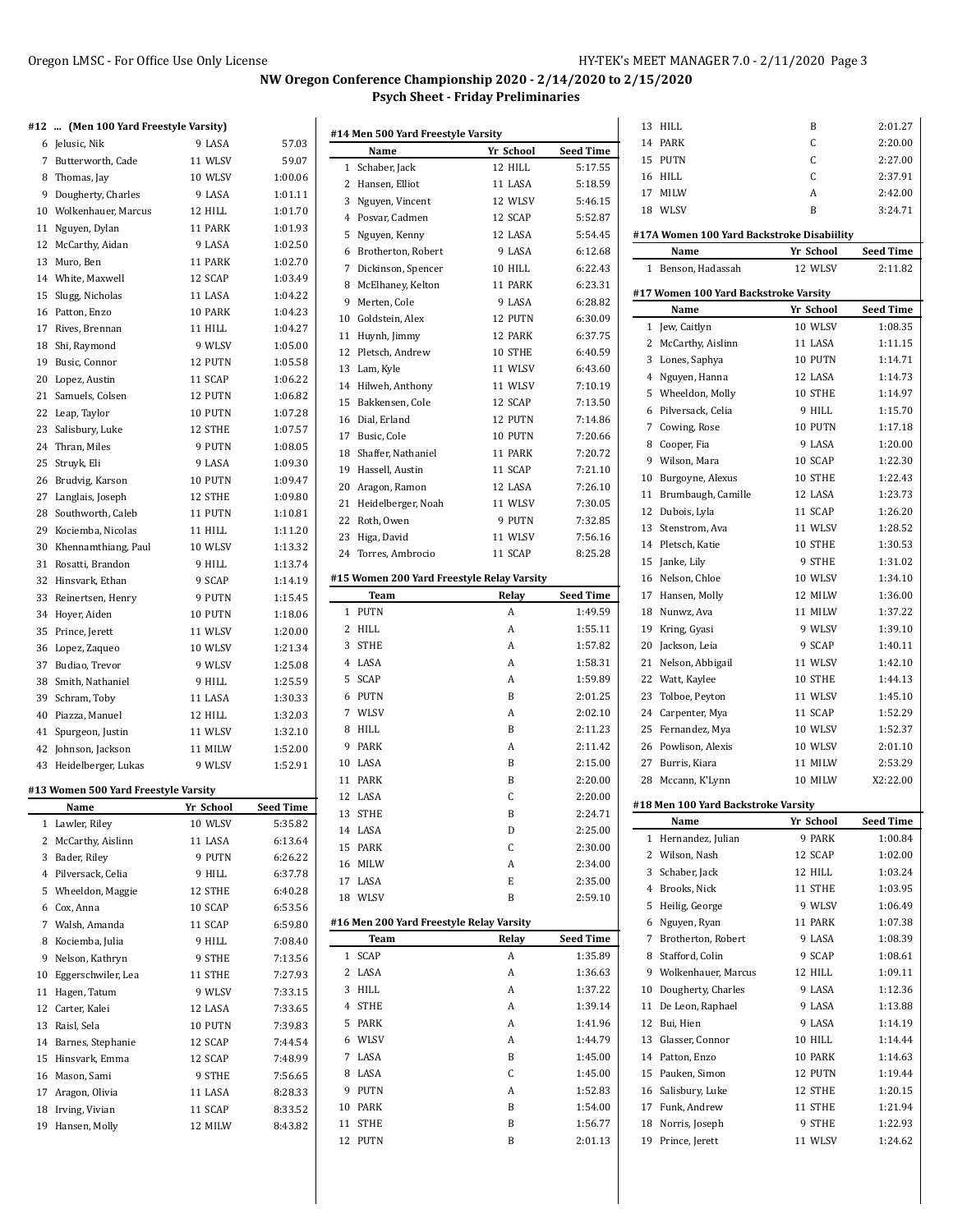### Oregon LMSC - For Office Use Only License **HY-TEK's MEET MANAGER 7.0 - 2/11/2020** Page 3

### **NW Oregon Conference Championship 2020 - 2/14/2020 to 2/15/2020 Psych Sheet - Friday Preliminaries**

# **#12 ... (Men 100 Yard Freestyle Varsity)**

| #12 | (Men 100 Yard Freestyle Varsity)     |                   |                    |
|-----|--------------------------------------|-------------------|--------------------|
|     | 6 Jelusic, Nik                       | 9 LASA            | 57.03              |
|     | 7 Butterworth, Cade                  | 11 WLSV           | 59.07              |
|     | 8 Thomas, Jay                        | 10 WLSV           | 1:00.06            |
|     | 9 Dougherty, Charles                 | 9 LASA            | 1:01.11            |
|     | 10 Wolkenhauer, Marcus               | 12 HILL           | 1:01.70            |
| 11  | Nguyen, Dylan                        | 11 PARK           | 1:01.93            |
|     | 12 McCarthy, Aidan                   | 9 LASA            | 1:02.50            |
|     | 13 Muro, Ben                         | 11 PARK           | 1:02.70            |
|     | 14 White, Maxwell                    | 12 SCAP           | 1:03.49            |
| 15  | Slugg, Nicholas                      | 11 LASA           | 1:04.22            |
|     | 16 Patton, Enzo                      | 10 PARK           | 1:04.23            |
|     | 17 Rives, Brennan                    | 11 HILL           | 1:04.27            |
|     | 18 Shi, Raymond                      | 9 WLSV            | 1:05.00            |
|     | 19 Busic, Connor                     | 12 PUTN           | 1:05.58            |
|     | 20 Lopez, Austin                     | 11 SCAP           | 1:06.22            |
|     | 21 Samuels, Colsen                   | 12 PUTN           | 1:06.82            |
|     | 22 Leap, Taylor                      | 10 PUTN           | 1:07.28            |
|     | 23 Salisbury, Luke                   | 12 STHE           | 1:07.57            |
|     | 24 Thran. Miles                      | 9 PUTN            | 1:08.05            |
| 25  | Struyk, Eli                          | 9 LASA            | 1:09.30            |
|     | 26 Brudvig, Karson                   | 10 PUTN           | 1:09.47            |
|     | 27 Langlais, Joseph                  | 12 STHE           | 1:09.80            |
| 28  | Southworth, Caleb                    | 11 PUTN           | 1:10.81            |
|     | 29 Kociemba, Nicolas                 | 11 HILL           | 1:11.20            |
| 30  | Khennamthiang, Paul                  | 10 WLSV           | 1:13.32            |
|     | 31 Rosatti, Brandon                  | 9 HILL            | 1:13.74            |
|     | 32 Hinsvark, Ethan                   | 9 SCAP            | 1:14.19            |
|     | 33 Reinertsen, Henry                 | 9 PUTN            | 1:15.45            |
|     | 34 Hoyer, Aiden                      | 10 PUTN           | 1:18.06            |
| 35  | Prince, Jerett                       | 11 WLSV           | 1:20.00            |
|     | 36 Lopez, Zaqueo                     | 10 WLSV           | 1:21.34            |
| 37  | Budiao, Trevor                       | 9 WLSV            | 1:25.08            |
|     | 38 Smith, Nathaniel                  | 9 HILL            | 1:25.59            |
|     | 39 Schram, Toby                      | 11 LASA           | 1:30.33            |
|     | 40 Piazza, Manuel                    | 12 HILL           | 1:32.03            |
| 41  | Spurgeon, Justin                     | 11 WLSV           | 1:32.10            |
| 42  | Johnson, Jackson                     | 11 MILW           | 1:52.00            |
| 43  | Heidelberger, Lukas                  | 9 WLSV            | 1:52.91            |
|     | #13 Women 500 Yard Freestyle Varsity |                   |                    |
|     | Name                                 | Yr School         | <b>Seed Time</b>   |
| 1   |                                      |                   |                    |
| 2   | Lawler, Riley                        | 10 WLSV           | 5:35.82            |
|     | McCarthy, Aislinn                    | 11 LASA           | 6:13.64            |
|     | 3 Bader, Riley                       | 9 PUTN            | 6:26.22            |
|     | 4 Pilversack, Celia                  | 9 HILL            | 6:37.78            |
|     | 5 Wheeldon, Maggie                   | 12 STHE           | 6:40.28            |
|     | 6 Cox, Anna                          | 10 SCAP           | 6:53.56            |
|     | 7 Walsh, Amanda                      | 11 SCAP           | 6:59.80            |
|     | 8 Kociemba, Julia                    | 9 HILL            | 7:08.40            |
| 9   | Nelson, Kathryn                      | 9 STHE            | 7:13.56            |
| 10  | Eggerschwiler, Lea                   | 11 STHE           | 7:27.93            |
| 11  | Hagen, Tatum                         | 9 WLSV            | 7:33.15            |
| 12  | Carter, Kalei                        | 12 LASA           | 7:33.65            |
|     | 13 Raisl, Sela                       | 10 PUTN           | 7:39.83            |
|     | 14 Barnes, Stephanie                 | 12 SCAP           | 7:44.54            |
|     | 15 Hinsvark, Emma                    | 12 SCAP           | 7:48.99            |
| 17  | 16 Mason, Sami<br>Aragon, Olivia     | 9 STHE<br>11 LASA | 7:56.65<br>8:28.33 |
|     | 18 Irving, Vivian                    | 11 SCAP           | 8:33.52            |

| #14 Men 500 Yard Freestyle Varsity |                                            |           |                  |  |
|------------------------------------|--------------------------------------------|-----------|------------------|--|
|                                    | Name                                       | Yr School | <b>Seed Time</b> |  |
|                                    | 1 Schaber, Jack                            | 12 HILL   | 5:17.55          |  |
|                                    | 2 Hansen, Elliot                           | 11 LASA   | 5:18.59          |  |
| 3                                  | Nguyen, Vincent                            | 12 WLSV   | 5:46.15          |  |
|                                    | 4 Posvar, Cadmen                           | 12 SCAP   | 5:52.87          |  |
|                                    | 5 Nguyen, Kenny                            | 12 LASA   | 5:54.45          |  |
| 6                                  | Brotherton, Robert                         | 9 LASA    | 6:12.68          |  |
|                                    | 7 Dickinson, Spencer                       | 10 HILL   | 6:22.43          |  |
| 8                                  | McElhaney, Kelton                          | 11 PARK   | 6:23.31          |  |
|                                    | 9 Merten, Cole                             | 9 LASA    | 6:28.82          |  |
|                                    | 10 Goldstein, Alex                         | 12 PUTN   | 6:30.09          |  |
|                                    | 11 Huynh, Jimmy                            | 12 PARK   | 6:37.75          |  |
|                                    | 12 Pletsch, Andrew                         | 10 STHE   | 6:40.59          |  |
|                                    | 13 Lam, Kyle                               | 11 WLSV   | 6:43.60          |  |
|                                    | 14 Hilweh, Anthony                         | 11 WLSV   | 7:10.19          |  |
|                                    | 15 Bakkensen, Cole                         | 12 SCAP   | 7:13.50          |  |
|                                    |                                            |           |                  |  |
|                                    | 16 Dial, Erland                            | 12 PUTN   | 7:14.86          |  |
|                                    | 17 Busic, Cole                             | 10 PUTN   | 7:20.66          |  |
|                                    | 18 Shaffer. Nathaniel                      | 11 PARK   | 7:20.72          |  |
|                                    | 19 Hassell. Austin                         | 11 SCAP   | 7:21.10          |  |
|                                    | 20 Aragon, Ramon                           | 12 LASA   | 7:26.10          |  |
|                                    | 21 Heidelberger, Noah                      | 11 WLSV   | 7:30.05          |  |
|                                    | 22 Roth, Owen                              | 9 PUTN    | 7:32.85          |  |
|                                    | 23 Higa, David                             | 11 WLSV   | 7:56.16          |  |
|                                    | 24 Torres, Ambrocio                        | 11 SCAP   | 8:25.28          |  |
|                                    | #15 Women 200 Yard Freestyle Relay Varsity |           |                  |  |
|                                    | <b>Team</b>                                | Relay     | <b>Seed Time</b> |  |
|                                    | 1 PUTN                                     | A         | 1:49.59          |  |
| 2                                  | HILL                                       | A         | 1:55.11          |  |
| 3                                  |                                            |           |                  |  |
|                                    | <b>STHE</b>                                | A         | 1:57.82          |  |
| 4                                  | LASA                                       | A         | 1:58.31          |  |
| 5                                  | <b>SCAP</b>                                | A         | 1:59.89          |  |
|                                    |                                            |           |                  |  |
| 6                                  | PUTN                                       | B         | 2:01.25          |  |
|                                    | 7 WLSV                                     | A         | 2:02.10          |  |
| 8                                  | HILL                                       | B         | 2:11.23          |  |
|                                    | 9 PARK                                     | A         | 2:11.42          |  |
|                                    | 10 LASA                                    | B         | 2:15.00          |  |
|                                    | 11 PARK                                    | B         | 2:20.00          |  |
|                                    | 12 LASA                                    | C         | 2:20.00          |  |
|                                    | 13 STHE                                    | В         | 2:24.71          |  |
|                                    | 14 LASA                                    | D         | 2:25.00          |  |
| 15                                 | PARK                                       | C         | 2:30.00          |  |
| 16                                 | MILW                                       | A         | 2:34.00          |  |
|                                    | 17 LASA                                    | E         | 2:35.00          |  |
|                                    | 18 WLSV                                    | B         | 2:59.10          |  |
|                                    | #16 Men 200 Yard Freestyle Relay Varsity   |           |                  |  |
|                                    | Team                                       | Relay     | <b>Seed Time</b> |  |
| 1                                  | SCAP                                       | A         | 1:35.89          |  |
| 2                                  | LASA                                       | A         | 1:36.63          |  |
| 3                                  | HILL                                       | A         | 1:37.22          |  |
| 4                                  |                                            | A         | 1:39.14          |  |
|                                    | <b>STHE</b>                                |           |                  |  |
| 5                                  | PARK                                       | A         | 1:41.96          |  |
| 6                                  | WLSV                                       | A         | 1:44.79          |  |
| 7                                  | LASA                                       | B         | 1:45.00          |  |
| 8                                  | LASA                                       | C         | 1:45.00          |  |
| 9                                  | PUTN                                       | A         | 1:52.83          |  |
| 10                                 | PARK                                       | B         | 1:54.00          |  |
| 11                                 | STHE                                       | B         | 1:56.77          |  |

| 13             | HILL                                          | B                  | 2:01.27            |
|----------------|-----------------------------------------------|--------------------|--------------------|
| 14             | PARK                                          | C                  | 2:20.00            |
| 15             | PUTN                                          | C                  | 2:27.00            |
|                | 16 HILL                                       | C                  | 2:37.91            |
|                | 17 MILW                                       | A                  | 2:42.00            |
|                | 18 WLSV                                       | B                  | 3:24.71            |
|                | #17A Women 100 Yard Backstroke Disabiility    |                    |                    |
|                | Name                                          | Yr School          | <b>Seed Time</b>   |
| 1              | Benson, Hadassah                              | 12 WLSV            | 2:11.82            |
|                |                                               |                    |                    |
|                | #17 Women 100 Yard Backstroke Varsity<br>Name | Yr School          | <b>Seed Time</b>   |
| 1              | Jew, Caitlyn                                  | 10 WLSV            | 1:08.35            |
| 2              | McCarthy, Aislinn                             | 11 LASA            | 1:11.15            |
|                | 3 Lones, Saphya                               | 10 PUTN            | 1:14.71            |
|                | 4 Nguyen, Hanna                               | 12 LASA            | 1:14.73            |
| 5              | Wheeldon, Molly                               | 10 STHE            | 1:14.97            |
|                | 6 Pilversack, Celia                           | 9 HILL             | 1:15.70            |
|                | 7 Cowing, Rose                                | 10 PUTN            | 1:17.18            |
|                | 8 Cooper, Fia                                 | 9 LASA             | 1:20.00            |
|                | 9 Wilson, Mara                                | 10 SCAP            | 1:22.30            |
| 10             | Burgoyne, Alexus                              | 10 STHE            | 1:22.43            |
| 11             | Brumbaugh, Camille                            | 12 LASA            | 1:23.73            |
| 12             | Dubois, Lyla                                  | 11 SCAP            | 1:26.20            |
| 13             | Stenstrom, Ava                                | 11 WLSV            | 1:28.52            |
|                | 14 Pletsch, Katie                             | 10 STHE            | 1:30.53            |
| 15             | Janke, Lily                                   | 9 STHE             | 1:31.02            |
|                | 16 Nelson, Chloe                              | 10 WLSV            | 1:34.10            |
| 17             | Hansen, Molly                                 | 12 MILW            | 1:36.00            |
|                | 18 Nunwz, Ava                                 | 11 MILW            | 1:37.22            |
| 19             | Kring, Gyasi                                  | 9 WLSV             | 1:39.10            |
| 20             | Jackson, Leia                                 | 9 SCAP             | 1:40.11            |
| 21             | Nelson, Abbigail                              | 11 WLSV            | 1:42.10            |
|                | 22 Watt, Kaylee                               | 10 STHE            | 1:44.13            |
| 23             | Tolboe, Peyton                                | 11 WLSV            | 1:45.10            |
|                | 24 Carpenter, Mya                             | 11 SCAP            | 1:52.29            |
| 25             | Fernandez, Mya                                | 10 WLSV            | 1:52.37            |
|                | 26 Powlison, Alexis                           | 10 WLSV            | 2:01.10            |
| 27             | Burris, Kiara                                 | 11 MILW            | 2:53.29            |
| 28             | Mccann, K'Lynn                                | 10 MILW            | X2:22.00           |
|                | #18 Men 100 Yard Backstroke Varsity           |                    |                    |
|                | Name                                          | Yr School          | Seed Time          |
| 1              | Hernandez, Julian                             | 9 PARK             | 1:00.84            |
|                | 2 Wilson, Nash                                | 12 SCAP            | 1:02.00            |
|                | 3 Schaber, Jack                               | 12 HILL            | 1:03.24            |
| $\overline{4}$ | Brooks, Nick                                  | 11 STHE            | 1:03.95            |
| 5              | Heilig, George                                | 9 WLSV             | 1:06.49            |
| 6              | Nguyen, Ryan                                  | 11 PARK            | 1:07.38            |
| 7              | Brotherton, Robert                            | 9 LASA             | 1:08.39            |
|                | 8 Stafford, Colin                             | 9 SCAP             | 1:08.61            |
| 9              | Wolkenhauer, Marcus                           | 12 HILL            | 1:09.11            |
| 10             | Dougherty, Charles                            | 9 LASA             | 1:12.36            |
| 11             | De Leon, Raphael                              | 9 LASA             | 1:13.88            |
| 12             | Bui, Hien                                     | 9 LASA             | 1:14.19            |
|                | 13 Glasser, Connor                            | 10 HILL            | 1:14.44            |
| 14             | Patton, Enzo                                  | 10 PARK            | 1:14.63            |
|                | 15 Pauken, Simon                              | 12 PUTN<br>12 STHE | 1:19.44<br>1:20.15 |
|                |                                               |                    |                    |
|                | 16 Salisbury, Luke                            |                    |                    |
| 17             | Funk, Andrew                                  | 11 STHE            | 1:21.94            |
| 19             | 18 Norris, Joseph<br>Prince, Jerett           | 9 STHE<br>11 WLSV  | 1:22.93<br>1:24.62 |